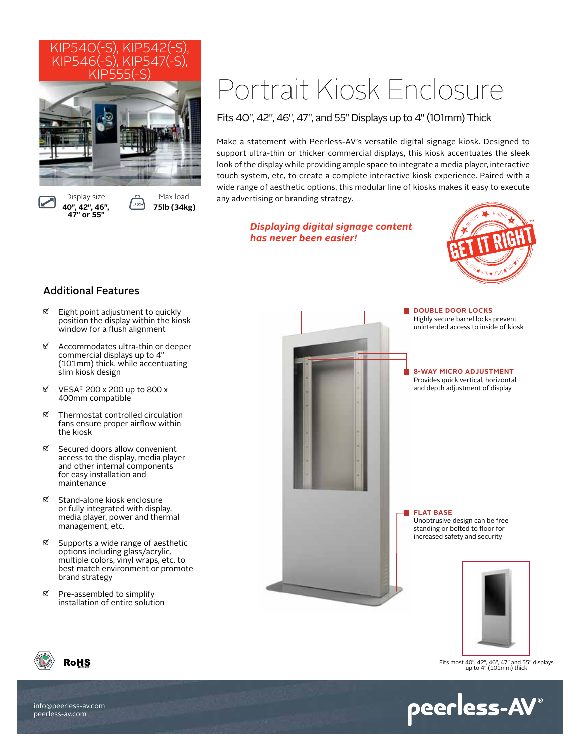

# Portrait Kiosk Enclosure

Fits 40", 42", 46", 47", and 55" Displays up to 4" (101mm) Thick

Make a statement with Peerless-AV's versatile digital signage kiosk. Designed to support ultra-thin or thicker commercial displays, this kiosk accentuates the sleek look of the display while providing ample space to integrate a media player, interactive touch system, etc, to create a complete interactive kiosk experience. Paired with a wide range of aesthetic options, this modular line of kiosks makes it easy to execute any advertising or branding strategy.

> *Displaying digital signage content has never been easier!*



# Additional Features

- $\mathfrak{D}$  Eight point adjustment to quickly position the display within the kiosk window for a flush alignment
- $\%$  Accommodates ultra-thin or deeper commercial displays up to 4" (101mm) thick, while accentuating slim kiosk design
- VESA® 200 x 200 up to 800 x 400mm compatible
- $\mathfrak{D}$  Thermostat controlled circulation fans ensure proper airflow within the kiosk
- Secured doors allow convenient access to the display, media player and other internal components for easy installation and maintenance
- **Ø** Stand-alone kiosk enclosure or fully integrated with display, media player, power and thermal management, etc.
- $\%$  Supports a wide range of aesthetic options including glass/acrylic, multiple colors, vinyl wraps, etc. to best match environment or promote brand strategy
- $\n *P*re-assembly$ installation of entire solution



**DOUBLE DOOR LOCKS** Highly secure barrel locks prevent unintended access to inside of kiosk

### **8-WAY MICRO ADJUSTMENT** Provides quick vertical, horizontal

and depth adjustment of display

**FLAT BASE** Unobtrusive design can be free standing or bolted to floor for increased safety and security



Fits most 40", 42", 46", 47" and 55" displays up to 4" (101mm) thick

peerless-AV®



info@peerless-av.com peerless-av.com